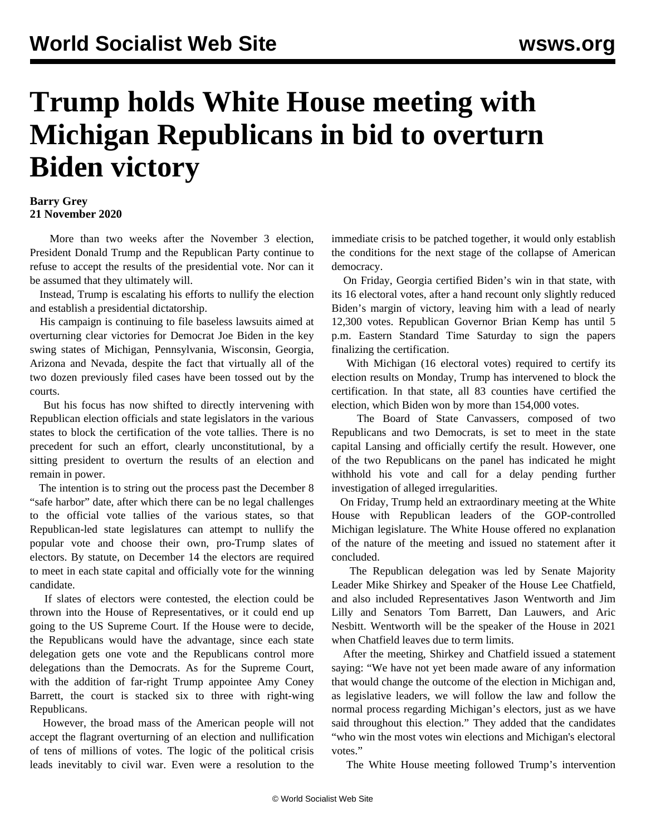## **Trump holds White House meeting with Michigan Republicans in bid to overturn Biden victory**

## **Barry Grey 21 November 2020**

 More than two weeks after the November 3 election, President Donald Trump and the Republican Party continue to refuse to accept the results of the presidential vote. Nor can it be assumed that they ultimately will.

 Instead, Trump is escalating his efforts to nullify the election and establish a presidential dictatorship.

 His campaign is continuing to file baseless lawsuits aimed at overturning clear victories for Democrat Joe Biden in the key swing states of Michigan, Pennsylvania, Wisconsin, Georgia, Arizona and Nevada, despite the fact that virtually all of the two dozen previously filed cases have been tossed out by the courts.

 But his focus has now shifted to directly intervening with Republican election officials and state legislators in the various states to block the certification of the vote tallies. There is no precedent for such an effort, clearly unconstitutional, by a sitting president to overturn the results of an election and remain in power.

 The intention is to string out the process past the December 8 "safe harbor" date, after which there can be no legal challenges to the official vote tallies of the various states, so that Republican-led state legislatures can attempt to nullify the popular vote and choose their own, pro-Trump slates of electors. By statute, on December 14 the electors are required to meet in each state capital and officially vote for the winning candidate.

 If slates of electors were contested, the election could be thrown into the House of Representatives, or it could end up going to the US Supreme Court. If the House were to decide, the Republicans would have the advantage, since each state delegation gets one vote and the Republicans control more delegations than the Democrats. As for the Supreme Court, with the addition of far-right Trump appointee Amy Coney Barrett, the court is stacked six to three with right-wing Republicans.

 However, the broad mass of the American people will not accept the flagrant overturning of an election and nullification of tens of millions of votes. The logic of the political crisis leads inevitably to civil war. Even were a resolution to the immediate crisis to be patched together, it would only establish the conditions for the next stage of the collapse of American democracy.

 On Friday, Georgia certified Biden's win in that state, with its 16 electoral votes, after a hand recount only slightly reduced Biden's margin of victory, leaving him with a lead of nearly 12,300 votes. Republican Governor Brian Kemp has until 5 p.m. Eastern Standard Time Saturday to sign the papers finalizing the certification.

 With Michigan (16 electoral votes) required to certify its election results on Monday, Trump has intervened to block the certification. In that state, all 83 counties have certified the election, which Biden won by more than 154,000 votes.

 The Board of State Canvassers, composed of two Republicans and two Democrats, is set to meet in the state capital Lansing and officially certify the result. However, one of the two Republicans on the panel has indicated he might withhold his vote and call for a delay pending further investigation of alleged irregularities.

 On Friday, Trump held an extraordinary meeting at the White House with Republican leaders of the GOP-controlled Michigan legislature. The White House offered no explanation of the nature of the meeting and issued no statement after it concluded.

 The Republican delegation was led by Senate Majority Leader Mike Shirkey and Speaker of the House Lee Chatfield, and also included Representatives Jason Wentworth and Jim Lilly and Senators Tom Barrett, Dan Lauwers, and Aric Nesbitt. Wentworth will be the speaker of the House in 2021 when Chatfield leaves due to term limits.

 After the meeting, Shirkey and Chatfield issued a statement saying: "We have not yet been made aware of any information that would change the outcome of the election in Michigan and, as legislative leaders, we will follow the law and follow the normal process regarding Michigan's electors, just as we have said throughout this election." They added that the candidates "who win the most votes win elections and Michigan's electoral votes."

The White House meeting followed Trump's intervention